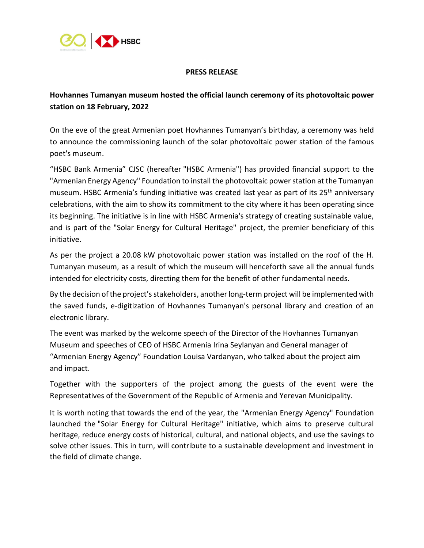

## **PRESS RELEASE**

# **Hovhannes Tumanyan museum hosted the official launch ceremony of its photovoltaic power station on 18 February, 2022**

On the eve of the great Armenian poet Hovhannes Tumanyan's birthday, a ceremony was held to announce the commissioning launch of the solar photovoltaic power station of the famous poet's museum.

"HSBC Bank Armenia" CJSC (hereafter "HSBC Armenia") has provided financial support to the "Armenian Energy Agency" Foundation to install the photovoltaic power station at the Tumanyan museum. HSBC Armenia's funding initiative was created last year as part of its 25<sup>th</sup> anniversary celebrations, with the aim to show its commitment to the city where it has been operating since its beginning. The initiative is in line with HSBC Armenia's strategy of creating sustainable value, and is part of the "Solar Energy for Cultural Heritage" project, the premier beneficiary of this initiative.

As per the project a 20.08 kW photovoltaic power station was installed on the roof of the H. Tumanyan museum, as a result of which the museum will henceforth save all the annual funds intended for electricity costs, directing them for the benefit of other fundamental needs.

By the decision of the project's stakeholders, another long-term project will be implemented with the saved funds, e-digitization of Hovhannes Tumanyan's personal library and creation of an electronic library.

The event was marked by the welcome speech of the Director of the Hovhannes Tumanyan Museum and speeches of CEO of HSBC Armenia Irina Seylanyan and General manager of "Armenian Energy Agency" Foundation Louisa Vardanyan, who talked about the project aim and impact.

Together with the supporters of the project among the guests of the event were the Representatives of the Government of the Republic of Armenia and Yerevan Municipality.

It is worth noting that towards the end of the year, the "Armenian Energy Agency" Foundation launched the "Solar Energy for Cultural Heritage" initiative, which aims to preserve cultural heritage, reduce energy costs of historical, cultural, and national objects, and use the savings to solve other issues. This in turn, will contribute to a sustainable development and investment in the field of climate change.